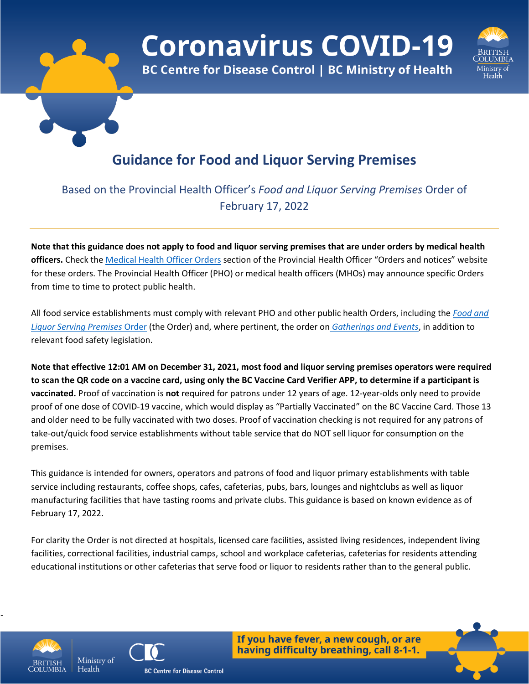

**Coronavirus COVID-19** 

**BC Centre for Disease Control | BC Ministry of Health** 



# **Guidance for Food and Liquor Serving Premises**

# Based on the Provincial Health Officer's *Food and Liquor Serving Premises* Order of February 17, 2022

**Note that this guidance does not apply to food and liquor serving premises that are under orders by medical health officers.** Check the [Medical Health Officer Orders](https://www2.gov.bc.ca/gov/content/health/about-bc-s-health-care-system/office-of-the-provincial-health-officer/current-health-topics/covid-19-novel-coronavirus) section of the Provincial Health Officer "Orders and notices" website for these orders. The Provincial Health Officer (PHO) or medical health officers (MHOs) may announce specific Orders from time to time to protect public health.

All food service establishments must comply with relevant PHO and other public health Orders, including the *[Food and](https://www2.gov.bc.ca/assets/gov/health/about-bc-s-health-care-system/office-of-the-provincial-health-officer/covid-19/covid-19-pho-order-nightclubs-food-drink.pdf)  [Liquor Serving Premises](https://www2.gov.bc.ca/assets/gov/health/about-bc-s-health-care-system/office-of-the-provincial-health-officer/covid-19/covid-19-pho-order-nightclubs-food-drink.pdf)* Order (the Order) and, where pertinent, the order on *[Gatherings and Events](https://www2.gov.bc.ca/assets/gov/health/about-bc-s-health-care-system/office-of-the-provincial-health-officer/covid-19/covid-19-pho-order-gatherings-events.pdf)*, in addition to relevant food safety legislation.

**Note that effective 12:01 AM on December 31, 2021, most food and liquor serving premises operators were required to scan the QR code on a vaccine card, using only the BC Vaccine Card Verifier APP, to determine if a participant is vaccinated.** Proof of vaccination is **not** required for patrons under 12 years of age. 12-year-olds only need to provide proof of one dose of COVID-19 vaccine, which would display as "Partially Vaccinated" on the BC Vaccine Card. Those 13 and older need to be fully vaccinated with two doses. Proof of vaccination checking is not required for any patrons of take-out/quick food service establishments without table service that do NOT sell liquor for consumption on the premises.

This guidance is intended for owners, operators and patrons of food and liquor primary establishments with table service including restaurants, coffee shops, cafes, cafeterias, pubs, bars, lounges and nightclubs as well as liquor manufacturing facilities that have tasting rooms and private clubs. This guidance is based on known evidence as of February 17, 2022.

For clarity the Order is not directed at hospitals, licensed care facilities, assisted living residences, independent living facilities, correctional facilities, industrial camps, school and workplace cafeterias, cafeterias for residents attending educational institutions or other cafeterias that serve food or liquor to residents rather than to the general public.



-



If you have fever, a new cough, or are having difficulty breathing, call 8-1-1.



**BC Centre for Disease Control**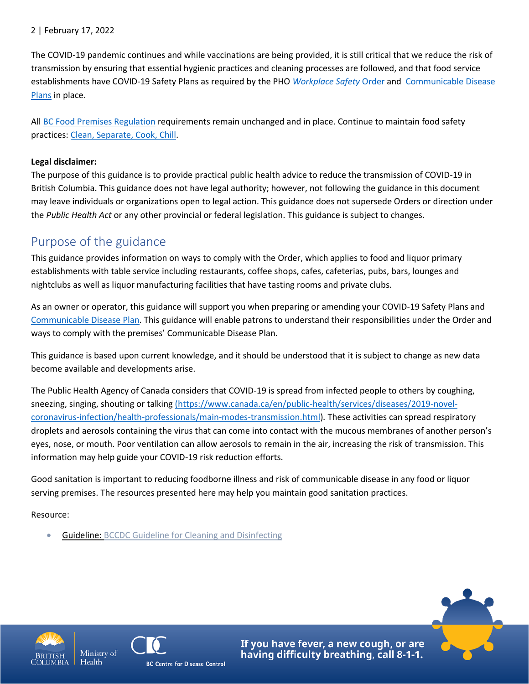### 2 | February 17, 2022

The COVID-19 pandemic continues and while vaccinations are being provided, it is still critical that we reduce the risk of transmission by ensuring that essential hygienic practices and cleaning processes are followed, and that food service establishments have COVID-19 Safety Plans as required by the PHO *[Workplace Safety](https://www2.gov.bc.ca/assets/gov/health/about-bc-s-health-care-system/office-of-the-provincial-health-officer/covid-19/covid-19-pho-order-workplace-safety-january-20-2022.pdf)* Order and [Communicable](https://www.worksafebc.com/en/resources/health-safety/books-guides/communicable-disease-prevention-guide-employers?lang=en) Disease [Plans](https://www.worksafebc.com/en/resources/health-safety/books-guides/communicable-disease-prevention-guide-employers?lang=en) in place.

All [BC Food Premises Regulation](http://www.bclaws.ca/civix/document/id/complete/statreg/11_210_99) requirements remain unchanged and in place. Continue to maintain food safety practices[: Clean, Separate, Cook, Chill.](http://www.bccdc.ca/health-info/prevention-public-health/food-safety)

### **Legal disclaimer:**

The purpose of this guidance is to provide practical public health advice to reduce the transmission of COVID-19 in British Columbia. This guidance does not have legal authority; however, not following the guidance in this document may leave individuals or organizations open to legal action. This guidance does not supersede Orders or direction under the *Public Health Act* or any other provincial or federal legislation. This guidance is subject to changes.

## Purpose of the guidance

This guidance provides information on ways to comply with the Order, which applies to food and liquor primary establishments with table service including restaurants, coffee shops, cafes, cafeterias, pubs, bars, lounges and nightclubs as well as liquor manufacturing facilities that have tasting rooms and private clubs.

As an owner or operator, this guidance will support you when preparing or amending your COVID-19 Safety Plans and [Communicable Disease Plan.](https://www.worksafebc.com/en/resources/health-safety/books-guides/communicable-disease-prevention-guide-employers?lang=en) This guidance will enable patrons to understand their responsibilities under the Order and ways to comply with the premises' Communicable Disease Plan.

This guidance is based upon current knowledge, and it should be understood that it is subject to change as new data become available and developments arise.

The Public Health Agency of Canada considers that COVID-19 is spread from infected people to others by coughing, sneezing, singing, shouting or talking [\(https://www.canada.ca/en/public-health/services/diseases/2019-novel](https://www.canada.ca/en/public-health/services/diseases/2019-novel-coronavirus-infection/health-professionals/main-modes-transmission.html)[coronavirus-infection/health-professionals/main-modes-transmission.html\)](https://www.canada.ca/en/public-health/services/diseases/2019-novel-coronavirus-infection/health-professionals/main-modes-transmission.html)*.* These activities can spread respiratory droplets and aerosols containing the virus that can come into contact with the mucous membranes of another person's eyes, nose, or mouth. Poor ventilation can allow aerosols to remain in the air, increasing the risk of transmission. This information may help guide your COVID-19 risk reduction efforts.

Good sanitation is important to reducing foodborne illness and risk of communicable disease in any food or liquor serving premises. The resources presented here may help you maintain good sanitation practices.

Resource:

• Guideline: [BCCDC Guideline for Cleaning and Disinfecting](http://www.bccdc.ca/health-info/diseases-conditions/covid-19/prevention-risks/cleaning-and-disinfecting)



Health



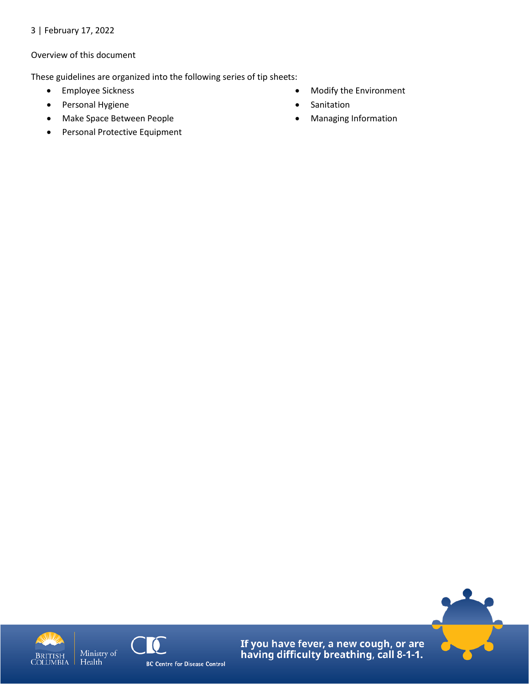3 | February 17, 2022

### Overview of this document

These guidelines are organized into the following series of tip sheets:

- Employee Sickness
- Personal Hygiene
- Make Space Between People
- Personal Protective Equipment
- Modify the Environment
- Sanitation
- Managing Information





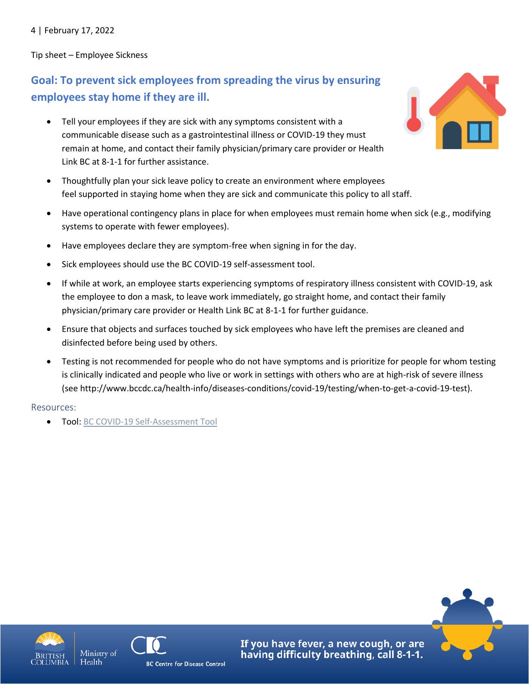4 | February 17, 2022

Tip sheet – Employee Sickness

# **Goal: To prevent sick employees from spreading the virus by ensuring employees stay home if they are ill.**

- Tell your employees if they are sick with any symptoms consistent with a communicable disease such as a gastrointestinal illness or COVID-19 they must remain at home, and contact their family physician/primary care provider or Health Link BC at 8-1-1 for further assistance.
- Thoughtfully plan your sick leave policy to create an environment where employees feel supported in staying home when they are sick and communicate this policy to all staff.
- Have operational contingency plans in place for when employees must remain home when sick (e.g., modifying systems to operate with fewer employees).
- Have employees declare they are symptom-free when signing in for the day.
- Sick employees should use the BC COVID-19 self-assessment tool.
- If while at work, an employee starts experiencing symptoms of respiratory illness consistent with COVID-19, ask the employee to don a mask, to leave work immediately, go straight home, and contact their family physician/primary care provider or Health Link BC at 8-1-1 for further guidance.
- Ensure that objects and surfaces touched by sick employees who have left the premises are cleaned and disinfected before being used by others.
- Testing is not recommended for people who do not have symptoms and is prioritize for people for whom testing is clinically indicated and people who live or work in settings with others who are at high-risk of severe illness (see http://www.bccdc.ca/health-info/diseases-conditions/covid-19/testing/when-to-get-a-covid-19-test).

#### Resources:

• Tool[: BC COVID-19 Self-Assessment Tool](https://bc.thrive.health/)









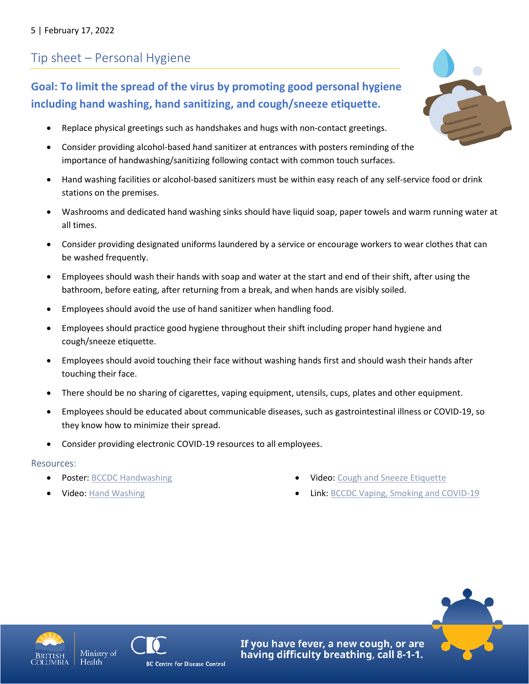# Tip sheet – Personal Hygiene

## **Goal: To limit the spread of the virus by promoting good personal hygiene including hand washing, hand sanitizing, and cough/sneeze etiquette.**

- Replace physical greetings such as handshakes and hugs with non-contact greetings.
- Consider providing alcohol-based hand sanitizer at entrances with posters reminding of the importance of handwashing/sanitizing following contact with common touch surfaces.
- Hand washing facilities or alcohol-based sanitizers must be within easy reach of any self-service food or drink stations on the premises.
- Washrooms and dedicated hand washing sinks should have liquid soap, paper towels and warm running water at all times.
- Consider providing designated uniforms laundered by a service or encourage workers to wear clothes that can be washed frequently.
- Employees should wash their hands with soap and water at the start and end of their shift, after using the bathroom, before eating, after returning from a break, and when hands are visibly soiled.
- Employees should avoid the use of hand sanitizer when handling food.
- Employees should practice good hygiene throughout their shift including proper hand hygiene and cough/sneeze etiquette.
- Employees should avoid touching their face without washing hands first and should wash their hands after touching their face.
- There should be no sharing of cigarettes, vaping equipment, utensils, cups, plates and other equipment.
- Employees should be educated about communicable diseases, such as gastrointestinal illness or COVID-19, so they know how to minimize their spread.
- Consider providing electronic COVID-19 resources to all employees.

### Resources:

- Poster: [BCCDC Handwashing](http://www.bccdc.ca/Health-Professionals-Site/Documents/COVID19_Handwashing%20Poster_MD%20offices.pdf)
- [Video: Hand Washing](https://www.youtube.com/watch?v=a7RBC_2N4KE&list=PLkETa5i0ewgVtWjfEDDrrA7C8h2VWuwFm&index=6&t=0s)
- Video[: Cough and Sneeze Etiquette](https://www.youtube.com/watch?v=8wmKArVuLaI)
- Link: [BCCDC Vaping, Smoking and COVID-19](http://www.bccdc.ca/health-info/diseases-conditions/covid-19/prevention-risks/vaping-smoking-and-covid-19)









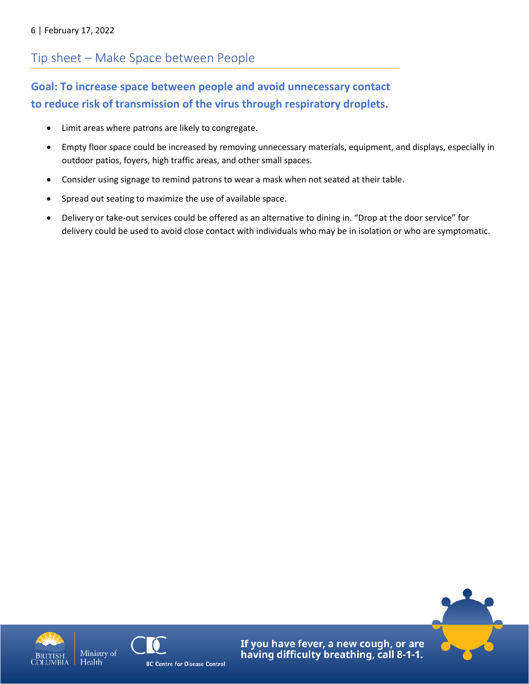# Tip sheet – Make Space between People

## **Goal: To increase space between people and avoid unnecessary contact to reduce risk of transmission of the virus through respiratory droplets.**

- Limit areas where patrons are likely to congregate.
- Empty floor space could be increased by removing unnecessary materials, equipment, and displays, especially in outdoor patios, foyers, high traffic areas, and other small spaces.
- Consider using signage to remind patrons to wear a mask when not seated at their table.
- Spread out seating to maximize the use of available space.
- Delivery or take-out services could be offered as an alternative to dining in. "Drop at the door service" for delivery could be used to avoid close contact with individuals who may be in isolation or who are symptomatic.







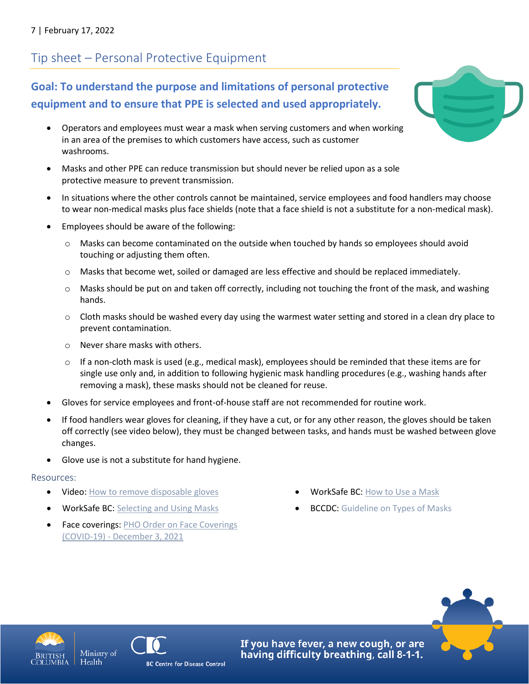# Tip sheet – Personal Protective Equipment

**Goal: To understand the purpose and limitations of personal protective equipment and to ensure that PPE is selected and used appropriately.** 

- Operators and employees must wear a mask when serving customers and when working in an area of the premises to which customers have access, such as customer washrooms.
- Masks and other PPE can reduce transmission but should never be relied upon as a sole protective measure to prevent transmission.
- In situations where the other controls cannot be maintained, service employees and food handlers may choose to wear non-medical masks plus face shields (note that a face shield is not a substitute for a non-medical mask).
- Employees should be aware of the following:
	- $\circ$  Masks can become contaminated on the outside when touched by hands so employees should avoid touching or adjusting them often.
	- o Masks that become wet, soiled or damaged are less effective and should be replaced immediately.
	- $\circ$  Masks should be put on and taken off correctly, including not touching the front of the mask, and washing hands.
	- $\circ$  Cloth masks should be washed every day using the warmest water setting and stored in a clean dry place to prevent contamination.
	- o Never share masks with others.
	- $\circ$  If a non-cloth mask is used (e.g., medical mask), employees should be reminded that these items are for single use only and, in addition to following hygienic mask handling procedures (e.g., washing hands after removing a mask), these masks should not be cleaned for reuse.
- Gloves for service employees and front-of-house staff are not recommended for routine work.
- If food handlers wear gloves for cleaning, if they have a cut, or for any other reason, the gloves should be taken off correctly (see video below), they must be changed between tasks, and hands must be washed between glove changes.
- Glove use is not a substitute for hand hygiene.

#### Resources:

- [Video: How to remove disposable gloves](https://www.canada.ca/en/public-health/services/video/covid-19-how-to-take-off-disposable-gloves.html)
- WorkSafe BC: [Selecting and Using Masks](https://www.worksafebc.com/en/resources/health-safety/information-sheets/covid-19-health-safety-selecting-using-masks?lang=en)
- Face coverings: PHO Order on Face Coverings (COVID-19) - [December 3, 2021](https://www2.gov.bc.ca/assets/gov/health/about-bc-s-health-care-system/office-of-the-provincial-health-officer/covid-19/covid-19-pho-order-face-coverings.pdf)
- WorkSafe BC: [How to](https://www.worksafebc.com/en/resources/health-safety/posters/help-prevent-spread-covid-19-how-to-use-mask?lang=en) Use a Mask
- **BCCDC:** [Guideline on Types of Masks](http://www.bccdc.ca/health-info/diseases-conditions/covid-19/prevention-risks/masks)





Health

**BC Centre for Disease Control** 



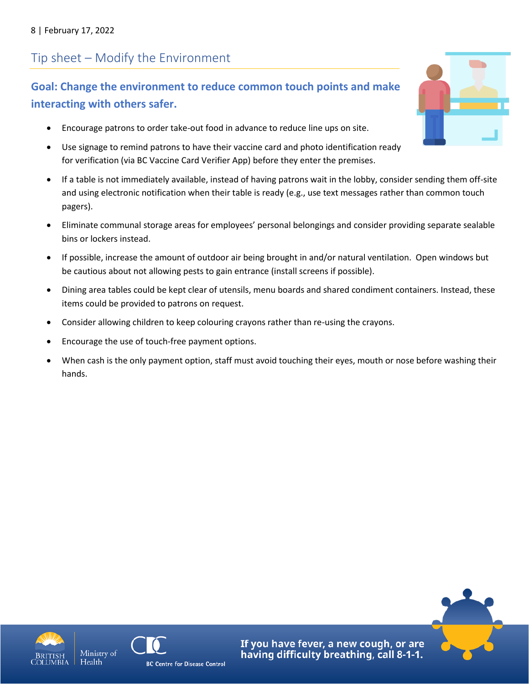# Tip sheet – Modify the Environment

## **Goal: Change the environment to reduce common touch points and make interacting with others safer.**

- Encourage patrons to order take-out food in advance to reduce line ups on site.
- Use signage to remind patrons to have their vaccine card and photo identification ready for verification (via BC Vaccine Card Verifier App) before they enter the premises.
- If a table is not immediately available, instead of having patrons wait in the lobby, consider sending them off-site and using electronic notification when their table is ready (e.g., use text messages rather than common touch pagers).
- Eliminate communal storage areas for employees' personal belongings and consider providing separate sealable bins or lockers instead.
- If possible, increase the amount of outdoor air being brought in and/or natural ventilation. Open windows but be cautious about not allowing pests to gain entrance (install screens if possible).
- Dining area tables could be kept clear of utensils, menu boards and shared condiment containers. Instead, these items could be provided to patrons on request.
- Consider allowing children to keep colouring crayons rather than re-using the crayons.
- Encourage the use of touch-free payment options.
- When cash is the only payment option, staff must avoid touching their eyes, mouth or nose before washing their hands.









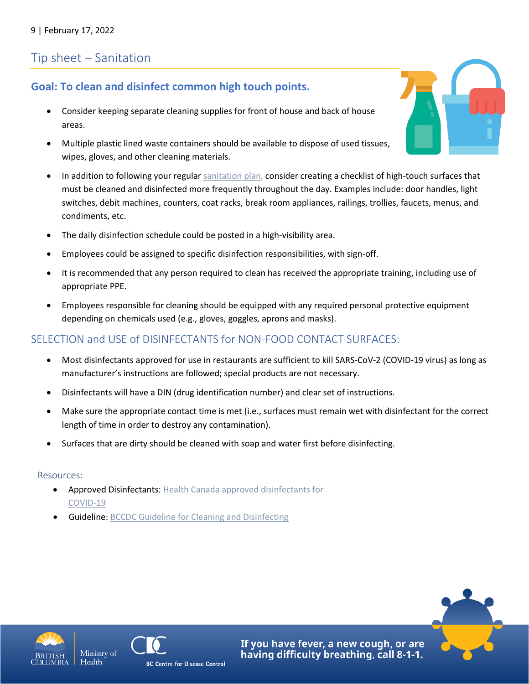# Tip sheet – Sanitation

### **Goal: To clean and disinfect common high touch points.**

- Consider keeping separate cleaning supplies for front of house and back of house areas.
- Multiple plastic lined waste containers should be available to dispose of used tissues, wipes, gloves, and other cleaning materials.
- In addition to following your regular [sanitation plan,](https://www2.gov.bc.ca/assets/gov/health/keeping-bc-healthy-safe/food-safety-security/sanitation_plan_template_-_september_2017.docx) consider creating a checklist of high-touch surfaces that must be cleaned and disinfected more frequently throughout the day. Examples include: door handles, light switches, debit machines, counters, coat racks, break room appliances, railings, trollies, faucets, menus, and condiments, etc.
- The daily disinfection schedule could be posted in a high-visibility area.
- Employees could be assigned to specific disinfection responsibilities, with sign-off.
- It is recommended that any person required to clean has received the appropriate training, including use of appropriate PPE.
- Employees responsible for cleaning should be equipped with any required personal protective equipment depending on chemicals used (e.g., gloves, goggles, aprons and masks).

### SELECTION and USE of DISINFECTANTS for NON-FOOD CONTACT SURFACES:

- Most disinfectants approved for use in restaurants are sufficient to kill SARS-CoV-2 (COVID-19 virus) as long as manufacturer's instructions are followed; special products are not necessary.
- Disinfectants will have a DIN (drug identification number) and clear set of instructions.
- Make sure the appropriate contact time is met (i.e., surfaces must remain wet with disinfectant for the correct length of time in order to destroy any contamination).
- Surfaces that are dirty should be cleaned with soap and water first before disinfecting.

### Resources:

- Approved Disinfectants: [Health Canada approved disinfectants for](https://www.canada.ca/en/health-canada/services/drugs-health-products/disinfectants/covid-19/list.html)  [COVID-19](https://www.canada.ca/en/health-canada/services/drugs-health-products/disinfectants/covid-19/list.html)
- Guideline[: BCCDC Guideline for Cleaning and Disinfecting](http://www.bccdc.ca/health-info/diseases-conditions/covid-19/prevention-risks/cleaning-and-disinfecting)